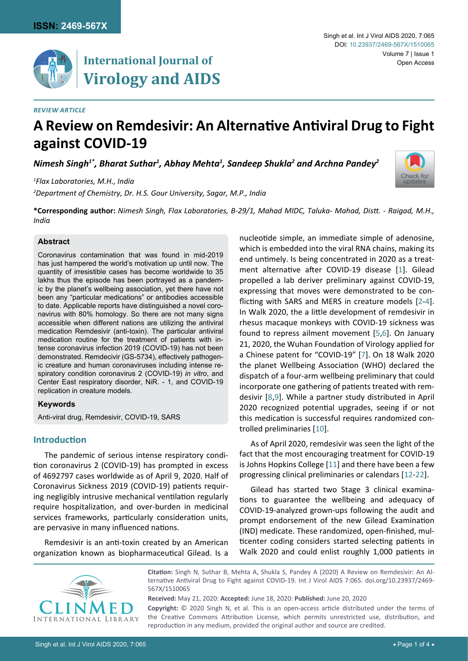

# **International Journal of Virology and AIDS**

#### *Review Article*

# **A Review on Remdesivir: An Alternative Antiviral Drug to Fight against COVID-19**

<code>Nimesh</code> Singh $^{1^*}$ , Bharat Suthar $^1$ , Abhay Mehta $^1$ , Sandeep Shukla $^2$  and Archna Pandey $^2$ 

*1 Flax Laboratories, M.H., India*

*2 Department of Chemistry, Dr. H.S. Gour University, Sagar, M.P., India*

**\*Corresponding author:** *Nimesh Singh, Flax Laboratories, B-29/1, Mahad MIDC, Taluka- Mahad, Distt. - Raigad, M.H., India*

#### **Abstract**

Coronavirus contamination that was found in mid-2019 has just hampered the world's motivation up until now. The quantity of irresistible cases has become worldwide to 35 lakhs thus the episode has been portrayed as a pandemic by the planet's wellbeing association, yet there have not been any "particular medications" or antibodies accessible to date. Applicable reports have distinguished a novel coronavirus with 80% homology. So there are not many signs accessible when different nations are utilizing the antiviral medication Remdesivir (anti-toxin). The particular antiviral medication routine for the treatment of patients with intense coronavirus infection 2019 (COVID-19) has not been demonstrated. Remdecivir (GS-5734), effectively pathogenic creature and human coronaviruses including intense respiratory condition coronavirus 2 (COVID-19) *in vitro*, and Center East respiratory disorder, NiR. - 1, and COVID-19 replication in creature models.

## **Keywords**

Anti-viral drug, Remdesivir, COVID-19, SARS

## **Introduction**

The pandemic of serious intense respiratory condition coronavirus 2 (COVID-19) has prompted in excess of 4692797 cases worldwide as of April 9, 2020. Half of Coronavirus Sickness 2019 (COVID-19) patients requiring negligibly intrusive mechanical ventilation regularly require hospitalization, and over-burden in medicinal services frameworks, particularly consideration units, are pervasive in many influenced nations.

Remdesivir is an anti-toxin created by an American organization known as biopharmaceutical Gilead. Is a nucleotide simple, an immediate simple of adenosine, which is embedded into the viral RNA chains, making its end untimely. Is being concentrated in 2020 as a treatment alternative after COVID-19 disease [[1](#page-2-0)]. Gilead propelled a lab deriver preliminary against COVID-19, expressing that moves were demonstrated to be conflicting with SARS and MERS in creature models [[2-](#page-2-1)[4\]](#page-2-2). In Walk 2020, the a little development of remdesivir in rhesus macaque monkeys with COVID-19 sickness was found to repress ailment movement [[5](#page-2-3),[6\]](#page-3-0). On January 21, 2020, the Wuhan Foundation of Virology applied for a Chinese patent for "COVID-19" [\[7](#page-3-1)]. On 18 Walk 2020 the planet Wellbeing Association (WHO) declared the dispatch of a four-arm wellbeing preliminary that could incorporate one gathering of patients treated with remdesivir [[8](#page-3-2),[9\]](#page-3-3). While a partner study distributed in April 2020 recognized potential upgrades, seeing if or not this medication is successful requires randomized controlled preliminaries [\[10](#page-3-4)].

As of April 2020, remdesivir was seen the light of the fact that the most encouraging treatment for COVID-19 is Johns Hopkins College [[11](#page-3-5)] and there have been a few progressing clinical preliminaries or calendars [\[12](#page-3-6)-[22](#page-3-7)].

Gilead has started two Stage 3 clinical examinations to guarantee the wellbeing and adequacy of COVID-19-analyzed grown-ups following the audit and prompt endorsement of the new Gilead Examination (IND) medicate. These randomized, open-finished, multicenter coding considers started selecting patients in Walk 2020 and could enlist roughly 1,000 patients in



**Citation:** Singh N, Suthar B, Mehta A, Shukla S, Pandey A (2020) A Review on Remdesivir: An Alternative Antiviral Drug to Fight against COVID-19. Int J Virol AIDS 7:065. [doi.org/10.23937/2469-](https://doi.org/10.23937/2469-567X/1510065) [567X/1510065](https://doi.org/10.23937/2469-567X/1510065)

**Received:** May 21, 2020: **Accepted:** June 18, 2020: **Published:** June 20, 2020 **Copyright:** © 2020 Singh N, et al. This is an open-access article distributed under the terms of the Creative Commons Attribution License, which permits unrestricted use, distribution, and reproduction in any medium, provided the original author and source are credited.

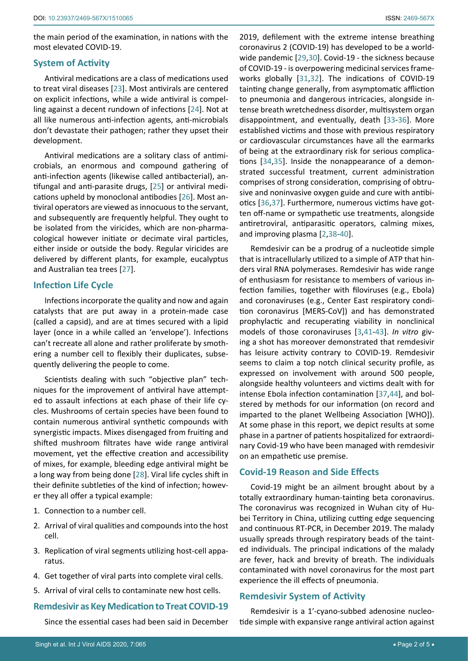the main period of the examination, in nations with the most elevated COVID-19.

## **System of Activity**

Antiviral medications are a class of medications used to treat viral diseases [\[23](#page-3-22)]. Most antivirals are centered on explicit infections, while a wide antiviral is compelling against a decent rundown of infections [\[24\]](#page-3-23). Not at all like numerous anti-infection agents, anti-microbials don't devastate their pathogen; rather they upset their development.

Antiviral medications are a solitary class of antimicrobials, an enormous and compound gathering of anti-infection agents (likewise called antibacterial), antifungal and anti-parasite drugs, [\[25](#page-3-24)] or antiviral medications upheld by monoclonal antibodies [[26](#page-3-25)]. Most antiviral operators are viewed as innocuous to the servant, and subsequently are frequently helpful. They ought to be isolated from the viricides, which are non-pharmacological however initiate or decimate viral particles, either inside or outside the body. Regular viricides are delivered by different plants, for example, eucalyptus and Australian tea trees [\[27](#page-3-26)].

#### **Infection Life Cycle**

Infections incorporate the quality and now and again catalysts that are put away in a protein-made case (called a capsid), and are at times secured with a lipid layer (once in a while called an 'envelope'). Infections can't recreate all alone and rather proliferate by smothering a number cell to flexibly their duplicates, subsequently delivering the people to come.

Scientists dealing with such "objective plan" techniques for the improvement of antiviral have attempted to assault infections at each phase of their life cycles. Mushrooms of certain species have been found to contain numerous antiviral synthetic compounds with synergistic impacts. Mixes disengaged from fruiting and shifted mushroom filtrates have wide range antiviral movement, yet the effective creation and accessibility of mixes, for example, bleeding edge antiviral might be a long way from being done [[28\]](#page-3-27). Viral life cycles shift in their definite subtleties of the kind of infection; however they all offer a typical example:

- 1. Connection to a number cell.
- 2. Arrival of viral qualities and compounds into the host cell.
- 3. Replication of viral segments utilizing host-cell apparatus.
- 4. Get together of viral parts into complete viral cells.
- 5. Arrival of viral cells to contaminate new host cells.

# **Remdesivir as Key Medication to Treat COVID-19**

Since the essential cases had been said in December

2019, defilement with the extreme intense breathing coronavirus 2 (COVID-19) has developed to be a worldwide pandemic [[29](#page-3-8),[30\]](#page-3-9). Covid-19 - the sickness because of COVID-19 - is overpowering medicinal services frameworks globally [[31](#page-3-10),[32\]](#page-3-11). The indications of COVID-19 tainting change generally, from asymptomatic affliction to pneumonia and dangerous intricacies, alongside intense breath wretchedness disorder, multisystem organ disappointment, and eventually, death [[33](#page-3-12)-[36\]](#page-3-13). More established victims and those with previous respiratory or cardiovascular circumstances have all the earmarks of being at the extraordinary risk for serious complications [\[34](#page-3-14),[35\]](#page-3-15). Inside the nonappearance of a demonstrated successful treatment, current administration comprises of strong consideration, comprising of obtrusive and noninvasive oxygen guide and cure with antibiotics [[36](#page-3-13),[37\]](#page-3-16). Furthermore, numerous victims have gotten off-name or sympathetic use treatments, alongside antiretroviral, antiparasitic operators, calming mixes, and improving plasma [[2](#page-2-1),[38](#page-3-17)-[40](#page-3-18)].

Remdesivir can be a prodrug of a nucleotide simple that is intracellularly utilized to a simple of ATP that hinders viral RNA polymerases. Remdesivir has wide range of enthusiasm for resistance to members of various infection families, together with filoviruses (e.g., Ebola) and coronaviruses (e.g., Center East respiratory condition coronavirus [MERS-CoV]) and has demonstrated prophylactic and recuperating viability in nonclinical models of those coronaviruses [[3](#page-2-4),[41](#page-3-19)-[43\]](#page-3-20). *In vitro* giving a shot has moreover demonstrated that remdesivir has leisure activity contrary to COVID-19. Remdesivir seems to claim a top notch clinical security profile, as expressed on involvement with around 500 people, alongside healthy volunteers and victims dealt with for intense Ebola infection contamination [[37](#page-3-16),[44\]](#page-3-21), and bolstered by methods for our information (on record and imparted to the planet Wellbeing Association [WHO]). At some phase in this report, we depict results at some phase in a partner of patients hospitalized for extraordinary Covid-19 who have been managed with remdesivir on an empathetic use premise.

# **Covid-19 Reason and Side Effects**

Covid-19 might be an ailment brought about by a totally extraordinary human-tainting beta coronavirus. The coronavirus was recognized in Wuhan city of Hubei Territory in China, utilizing cutting edge sequencing and continuous RT-PCR, in December 2019. The malady usually spreads through respiratory beads of the tainted individuals. The principal indications of the malady are fever, hack and brevity of breath. The individuals contaminated with novel coronavirus for the most part experience the ill effects of pneumonia.

#### **Remdesivir System of Activity**

Remdesivir is a 1′-cyano-subbed adenosine nucleotide simple with expansive range antiviral action against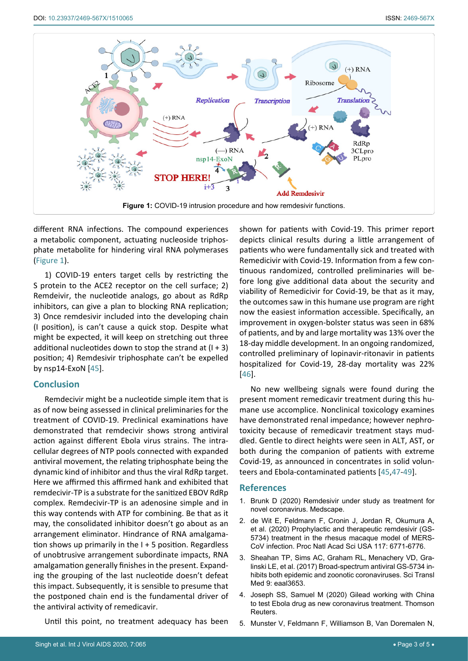<span id="page-2-5"></span>

different RNA infections. The compound experiences a metabolic component, actuating nucleoside triphosphate metabolite for hindering viral RNA polymerases ([Figure 1\)](#page-2-5).

1) COVID-19 enters target cells by restricting the S protein to the ACE2 receptor on the cell surface; 2) Remdeivir, the nucleotide analogs, go about as RdRp inhibitors, can give a plan to blocking RNA replication; 3) Once remdesivir included into the developing chain (I position), is can't cause a quick stop. Despite what might be expected, it will keep on stretching out three additional nucleotides down to stop the strand at  $(1 + 3)$ position; 4) Remdesivir triphosphate can't be expelled by nsp14-ExoN [\[45](#page-3-29)].

# **Conclusion**

Remdecivir might be a nucleotide simple item that is as of now being assessed in clinical preliminaries for the treatment of COVID-19. Preclinical examinations have demonstrated that remdecivir shows strong antiviral action against different Ebola virus strains. The intracellular degrees of NTP pools connected with expanded antiviral movement, the relating triphosphate being the dynamic kind of inhibitor and thus the viral RdRp target. Here we affirmed this affirmed hank and exhibited that remdecivir-TP is a substrate for the sanitized EBOV RdRp complex. Remdecivir-TP is an adenosine simple and in this way contends with ATP for combining. Be that as it may, the consolidated inhibitor doesn't go about as an arrangement eliminator. Hindrance of RNA amalgamation shows up primarily in the I + 5 position. Regardless of unobtrusive arrangement subordinate impacts, RNA amalgamation generally finishes in the present. Expanding the grouping of the last nucleotide doesn't defeat this impact. Subsequently, it is sensible to presume that the postponed chain end is the fundamental driver of the antiviral activity of remedicavir.

Until this point, no treatment adequacy has been

shown for patients with Covid-19. This primer report depicts clinical results during a little arrangement of patients who were fundamentally sick and treated with Remedicivir with Covid-19. Information from a few continuous randomized, controlled preliminaries will before long give additional data about the security and viability of Remedicivir for Covid-19, be that as it may, the outcomes saw in this humane use program are right now the easiest information accessible. Specifically, an improvement in oxygen-bolster status was seen in 68% of patients, and by and large mortality was 13% over the 18-day middle development. In an ongoing randomized, controlled preliminary of lopinavir-ritonavir in patients hospitalized for Covid-19, 28-day mortality was 22% [\[46](#page-3-28)].

No new wellbeing signals were found during the present moment remedicavir treatment during this humane use accomplice. Nonclinical toxicology examines have demonstrated renal impedance; however nephrotoxicity because of remedicavir treatment stays muddled. Gentle to direct heights were seen in ALT, AST, or both during the companion of patients with extreme Covid-19, as announced in concentrates in solid volunteers and Ebola-contaminated patients [[45](#page-3-29),[47](#page-3-30)-[49](#page-3-31)].

## **References**

- <span id="page-2-0"></span>1. [Brunk D \(2020\) Remdesivir under study as treatment for](https://www.medscape.com/viewarticle/924964)  [novel coronavirus. Medscape.](https://www.medscape.com/viewarticle/924964)
- <span id="page-2-1"></span>2. [de Wit E, Feldmann F, Cronin J, Jordan R, Okumura A,](https://www.pnas.org/content/117/12/6771)  [et al. \(2020\) Prophylactic and therapeutic remdesivir \(GS-](https://www.pnas.org/content/117/12/6771)[5734\) treatment in the rhesus macaque model of MERS-](https://www.pnas.org/content/117/12/6771)[CoV infection. Proc Natl Acad Sci USA 117: 6771-6776.](https://www.pnas.org/content/117/12/6771)
- <span id="page-2-4"></span>3. [Sheahan TP, Sims AC, Graham RL, Menachery VD, Gra](https://pubmed.ncbi.nlm.nih.gov/28659436/)[linski LE, et al. \(2017\) Broad-spectrum antiviral GS-5734 in](https://pubmed.ncbi.nlm.nih.gov/28659436/)[hibits both epidemic and zoonotic coronaviruses. Sci Transl](https://pubmed.ncbi.nlm.nih.gov/28659436/)  [Med 9: eaal3653.](https://pubmed.ncbi.nlm.nih.gov/28659436/)
- <span id="page-2-2"></span>4. Joseph SS, Samuel M (2020) Gilead working with China to test Ebola drug as new coronavirus treatment. Thomson Reuters.
- <span id="page-2-3"></span>5. [Munster V, Feldmann F, Williamson B, Van Doremalen N,](https://www.biorxiv.org/content/10.1101/2020.03.21.001628v1)